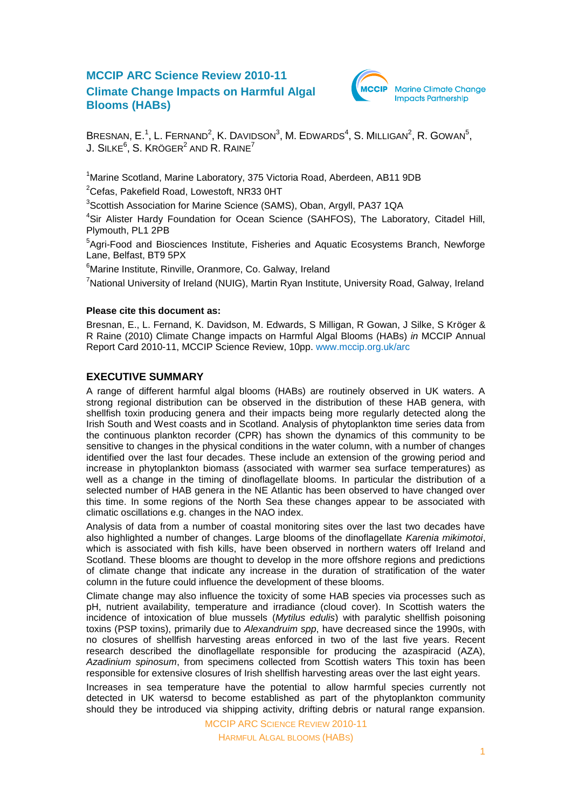# **MCCIP ARC Science Review 2010-11 Climate Change Impacts on Harmful Algal Blooms (HABs)**



BRESNAN, E.<sup>1</sup>, L. FERNAND<sup>2</sup>, K. DAVIDSON<sup>3</sup>, M. EDWARDS<sup>4</sup>, S. MILLIGAN<sup>2</sup>, R. GOWAN<sup>5</sup>, J. SILKE $^6$ , S. Kröger $^2$  and R. Raine $^7$ 

<sup>1</sup>Marine Scotland, Marine Laboratory, 375 Victoria Road, Aberdeen, AB11 9DB

 $2$ Cefas, Pakefield Road, Lowestoft, NR33 0HT

<sup>3</sup>Scottish Association for Marine Science (SAMS), Oban, Argyll, PA37 1QA

<sup>4</sup>Sir Alister Hardy Foundation for Ocean Science (SAHFOS), The Laboratory, Citadel Hill, Plymouth, PL1 2PB

<sup>5</sup>Agri-Food and Biosciences Institute, Fisheries and Aquatic Ecosystems Branch, Newforge Lane, Belfast, BT9 5PX

<sup>6</sup>Marine Institute, Rinville, Oranmore, Co. Galway, Ireland

<sup>7</sup>National University of Ireland (NUIG), Martin Ryan Institute, University Road, Galway, Ireland

#### **Please cite this document as:**

Bresnan, E., L. Fernand, K. Davidson, M. Edwards, S Milligan, R Gowan, J Silke, S Kröger & R Raine (2010) Climate Change impacts on Harmful Algal Blooms (HABs) *in* MCCIP Annual Report Card 2010-11, MCCIP Science Review, 10pp. [www.mccip.org.uk/arc](http://www.mccip.org.uk/arc)

## **EXECUTIVE SUMMARY**

A range of different harmful algal blooms (HABs) are routinely observed in UK waters. A strong regional distribution can be observed in the distribution of these HAB genera, with shellfish toxin producing genera and their impacts being more regularly detected along the Irish South and West coasts and in Scotland. Analysis of phytoplankton time series data from the continuous plankton recorder (CPR) has shown the dynamics of this community to be sensitive to changes in the physical conditions in the water column, with a number of changes identified over the last four decades. These include an extension of the growing period and increase in phytoplankton biomass (associated with warmer sea surface temperatures) as well as a change in the timing of dinoflagellate blooms. In particular the distribution of a selected number of HAB genera in the NE Atlantic has been observed to have changed over this time. In some regions of the North Sea these changes appear to be associated with climatic oscillations e.g. changes in the NAO index.

Analysis of data from a number of coastal monitoring sites over the last two decades have also highlighted a number of changes. Large blooms of the dinoflagellate *Karenia mikimotoi*, which is associated with fish kills, have been observed in northern waters off Ireland and Scotland. These blooms are thought to develop in the more offshore regions and predictions of climate change that indicate any increase in the duration of stratification of the water column in the future could influence the development of these blooms.

Climate change may also influence the toxicity of some HAB species via processes such as pH, nutrient availability, temperature and irradiance (cloud cover). In Scottish waters the incidence of intoxication of blue mussels (*Mytilus edulis*) with paralytic shellfish poisoning toxins (PSP toxins), primarily due to *Alexandruim spp*, have decreased since the 1990s, with no closures of shellfish harvesting areas enforced in two of the last five years. Recent research described the dinoflagellate responsible for producing the azaspiracid (AZA), *Azadinium spinosum*, from specimens collected from Scottish waters This toxin has been responsible for extensive closures of Irish shellfish harvesting areas over the last eight years.

Increases in sea temperature have the potential to allow harmful species currently not detected in UK watersd to become established as part of the phytoplankton community should they be introduced via shipping activity, drifting debris or natural range expansion.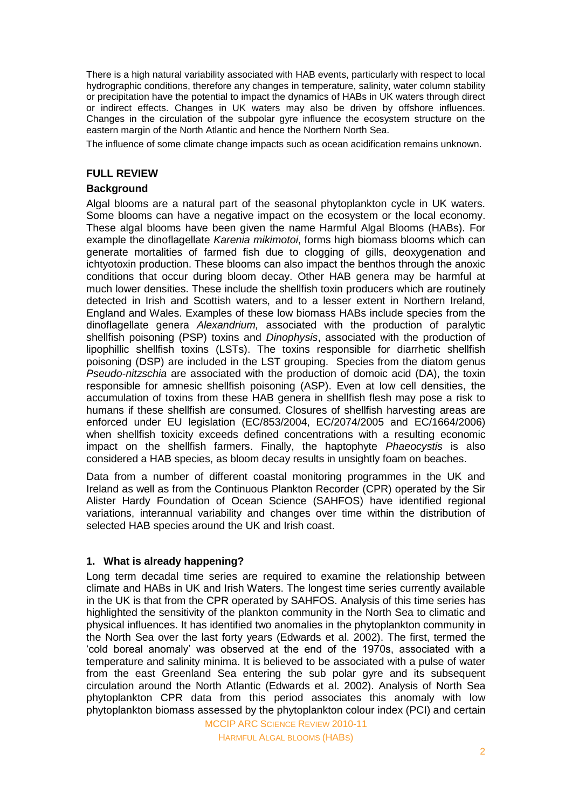There is a high natural variability associated with HAB events, particularly with respect to local hydrographic conditions, therefore any changes in temperature, salinity, water column stability or precipitation have the potential to impact the dynamics of HABs in UK waters through direct or indirect effects. Changes in UK waters may also be driven by offshore influences. Changes in the circulation of the subpolar gyre influence the ecosystem structure on the eastern margin of the North Atlantic and hence the Northern North Sea.

The influence of some climate change impacts such as ocean acidification remains unknown.

#### **FULL REVIEW**

## **Background**

Algal blooms are a natural part of the seasonal phytoplankton cycle in UK waters. Some blooms can have a negative impact on the ecosystem or the local economy. These algal blooms have been given the name Harmful Algal Blooms (HABs). For example the dinoflagellate *Karenia mikimotoi*, forms high biomass blooms which can generate mortalities of farmed fish due to clogging of gills, deoxygenation and ichtyotoxin production. These blooms can also impact the benthos through the anoxic conditions that occur during bloom decay. Other HAB genera may be harmful at much lower densities. These include the shellfish toxin producers which are routinely detected in Irish and Scottish waters, and to a lesser extent in Northern Ireland, England and Wales. Examples of these low biomass HABs include species from the dinoflagellate genera *Alexandrium,* associated with the production of paralytic shellfish poisoning (PSP) toxins and *Dinophysis*, associated with the production of lipophillic shellfish toxins (LSTs). The toxins responsible for diarrhetic shellfish poisoning (DSP) are included in the LST grouping. Species from the diatom genus *Pseudo-nitzschia* are associated with the production of domoic acid (DA), the toxin responsible for amnesic shellfish poisoning (ASP). Even at low cell densities, the accumulation of toxins from these HAB genera in shellfish flesh may pose a risk to humans if these shellfish are consumed. Closures of shellfish harvesting areas are enforced under EU legislation (EC/853/2004, EC/2074/2005 and EC/1664/2006) when shellfish toxicity exceeds defined concentrations with a resulting economic impact on the shellfish farmers. Finally, the haptophyte *Phaeocystis* is also considered a HAB species, as bloom decay results in unsightly foam on beaches.

Data from a number of different coastal monitoring programmes in the UK and Ireland as well as from the Continuous Plankton Recorder (CPR) operated by the Sir Alister Hardy Foundation of Ocean Science (SAHFOS) have identified regional variations, interannual variability and changes over time within the distribution of selected HAB species around the UK and Irish coast.

## **1. What is already happening?**

Long term decadal time series are required to examine the relationship between climate and HABs in UK and Irish Waters. The longest time series currently available in the UK is that from the CPR operated by SAHFOS. Analysis of this time series has highlighted the sensitivity of the plankton community in the North Sea to climatic and physical influences. It has identified two anomalies in the phytoplankton community in the North Sea over the last forty years (Edwards et al. 2002). The first, termed the "cold boreal anomaly" was observed at the end of the 1970s, associated with a temperature and salinity minima. It is believed to be associated with a pulse of water from the east Greenland Sea entering the sub polar gyre and its subsequent circulation around the North Atlantic (Edwards et al. 2002). Analysis of North Sea phytoplankton CPR data from this period associates this anomaly with low phytoplankton biomass assessed by the phytoplankton colour index (PCI) and certain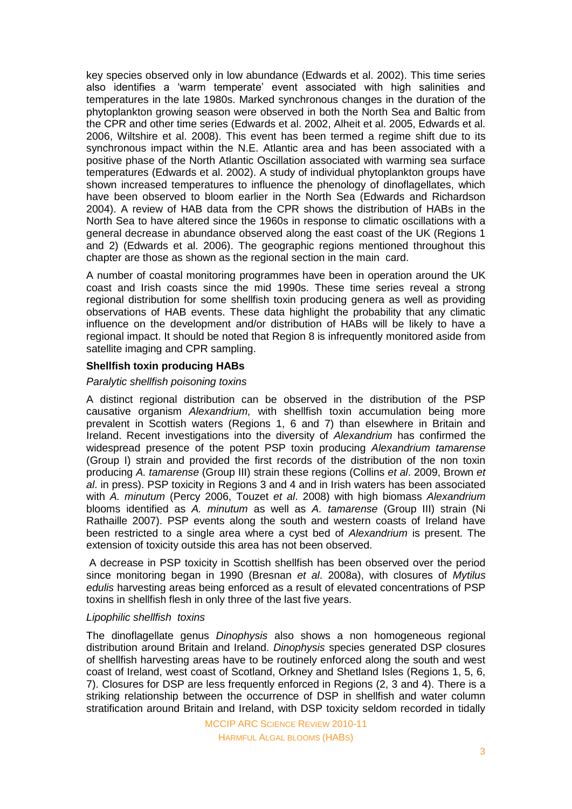key species observed only in low abundance (Edwards et al. 2002). This time series also identifies a "warm temperate" event associated with high salinities and temperatures in the late 1980s. Marked synchronous changes in the duration of the phytoplankton growing season were observed in both the North Sea and Baltic from the CPR and other time series (Edwards et al. 2002, Alheit et al. 2005, Edwards et al. 2006, Wiltshire et al. 2008). This event has been termed a regime shift due to its synchronous impact within the N.E. Atlantic area and has been associated with a positive phase of the North Atlantic Oscillation associated with warming sea surface temperatures (Edwards et al. 2002). A study of individual phytoplankton groups have shown increased temperatures to influence the phenology of dinoflagellates, which have been observed to bloom earlier in the North Sea (Edwards and Richardson 2004). A review of HAB data from the CPR shows the distribution of HABs in the North Sea to have altered since the 1960s in response to climatic oscillations with a general decrease in abundance observed along the east coast of the UK (Regions 1 and 2) (Edwards et al. 2006). The geographic regions mentioned throughout this chapter are those as shown as the regional section in the main card.

A number of coastal monitoring programmes have been in operation around the UK coast and Irish coasts since the mid 1990s. These time series reveal a strong regional distribution for some shellfish toxin producing genera as well as providing observations of HAB events. These data highlight the probability that any climatic influence on the development and/or distribution of HABs will be likely to have a regional impact. It should be noted that Region 8 is infrequently monitored aside from satellite imaging and CPR sampling.

## **Shellfish toxin producing HABs**

#### *Paralytic shellfish poisoning toxins*

A distinct regional distribution can be observed in the distribution of the PSP causative organism *Alexandrium,* with shellfish toxin accumulation being more prevalent in Scottish waters (Regions 1, 6 and 7) than elsewhere in Britain and Ireland. Recent investigations into the diversity of *Alexandrium* has confirmed the widespread presence of the potent PSP toxin producing *Alexandrium tamarense*  (Group I) strain and provided the first records of the distribution of the non toxin producing *A. tamarense* (Group III) strain these regions (Collins *et al*. 2009, Brown *et al*. in press). PSP toxicity in Regions 3 and 4 and in Irish waters has been associated with *A. minutum* (Percy 2006, Touzet *et al*. 2008) with high biomass *Alexandrium* blooms identified as *A. minutum* as well as *A. tamarense* (Group III) strain (Ni Rathaille 2007). PSP events along the south and western coasts of Ireland have been restricted to a single area where a cyst bed of *Alexandrium* is present. The extension of toxicity outside this area has not been observed.

A decrease in PSP toxicity in Scottish shellfish has been observed over the period since monitoring began in 1990 (Bresnan *et al*. 2008a), with closures of *Mytilus edulis* harvesting areas being enforced as a result of elevated concentrations of PSP toxins in shellfish flesh in only three of the last five years.

#### *Lipophilic shellfish toxins*

The dinoflagellate genus *Dinophysis* also shows a non homogeneous regional distribution around Britain and Ireland. *Dinophysis* species generated DSP closures of shellfish harvesting areas have to be routinely enforced along the south and west coast of Ireland, west coast of Scotland, Orkney and Shetland Isles (Regions 1, 5, 6, 7). Closures for DSP are less frequently enforced in Regions (2, 3 and 4). There is a striking relationship between the occurrence of DSP in shellfish and water column stratification around Britain and Ireland, with DSP toxicity seldom recorded in tidally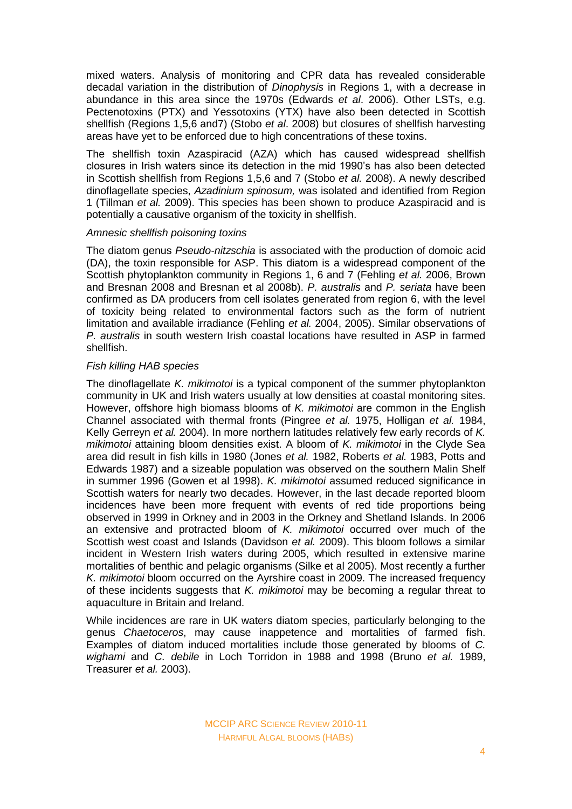mixed waters. Analysis of monitoring and CPR data has revealed considerable decadal variation in the distribution of *Dinophysis* in Regions 1, with a decrease in abundance in this area since the 1970s (Edwards *et al*. 2006). Other LSTs, e.g. Pectenotoxins (PTX) and Yessotoxins (YTX) have also been detected in Scottish shellfish (Regions 1,5,6 and7) (Stobo *et al*. 2008) but closures of shellfish harvesting areas have yet to be enforced due to high concentrations of these toxins.

The shellfish toxin Azaspiracid (AZA) which has caused widespread shellfish closures in Irish waters since its detection in the mid 1990"s has also been detected in Scottish shellfish from Regions 1,5,6 and 7 (Stobo *et al.* 2008). A newly described dinoflagellate species, *Azadinium spinosum,* was isolated and identified from Region 1 (Tillman *et al.* 2009). This species has been shown to produce Azaspiracid and is potentially a causative organism of the toxicity in shellfish.

#### *Amnesic shellfish poisoning toxins*

The diatom genus *Pseudo-nitzschia* is associated with the production of domoic acid (DA), the toxin responsible for ASP. This diatom is a widespread component of the Scottish phytoplankton community in Regions 1, 6 and 7 (Fehling *et al.* 2006, Brown and Bresnan 2008 and Bresnan et al 2008b). *P. australis* and *P. seriata* have been confirmed as DA producers from cell isolates generated from region 6, with the level of toxicity being related to environmental factors such as the form of nutrient limitation and available irradiance (Fehling *et al.* 2004, 2005). Similar observations of *P. australis* in south western Irish coastal locations have resulted in ASP in farmed shellfish.

## *Fish killing HAB species*

The dinoflagellate *K. mikimotoi* is a typical component of the summer phytoplankton community in UK and Irish waters usually at low densities at coastal monitoring sites. However, offshore high biomass blooms of *K. mikimotoi* are common in the English Channel associated with thermal fronts (Pingree *et al.* 1975, Holligan *et al.* 1984, Kelly Gerreyn *et al.* 2004). In more northern latitudes relatively few early records of *K. mikimotoi* attaining bloom densities exist. A bloom of *K. mikimotoi* in the Clyde Sea area did result in fish kills in 1980 (Jones *et al.* 1982, Roberts *et al.* 1983, Potts and Edwards 1987) and a sizeable population was observed on the southern Malin Shelf in summer 1996 (Gowen et al 1998). *K. mikimotoi* assumed reduced significance in Scottish waters for nearly two decades. However, in the last decade reported bloom incidences have been more frequent with events of red tide proportions being observed in 1999 in Orkney and in 2003 in the Orkney and Shetland Islands. In 2006 an extensive and protracted bloom of *K. mikimotoi* occurred over much of the Scottish west coast and Islands (Davidson *et al.* 2009). This bloom follows a similar incident in Western Irish waters during 2005, which resulted in extensive marine mortalities of benthic and pelagic organisms (Silke et al 2005). Most recently a further *K. mikimotoi* bloom occurred on the Ayrshire coast in 2009. The increased frequency of these incidents suggests that *K. mikimotoi* may be becoming a regular threat to aquaculture in Britain and Ireland.

While incidences are rare in UK waters diatom species, particularly belonging to the genus *Chaetoceros*, may cause inappetence and mortalities of farmed fish. Examples of diatom induced mortalities include those generated by blooms of *C. wighami* and *C. debile* in Loch Torridon in 1988 and 1998 (Bruno *et al.* 1989, Treasurer *et al.* 2003).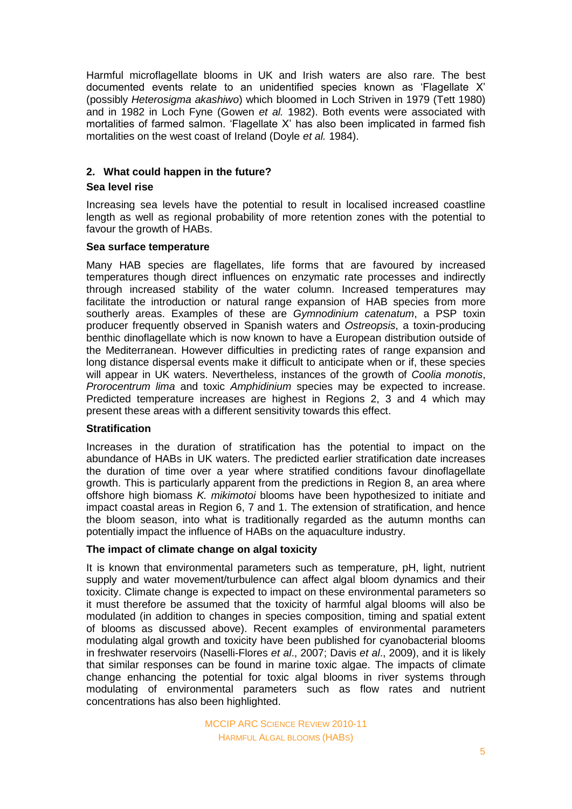Harmful microflagellate blooms in UK and Irish waters are also rare. The best documented events relate to an unidentified species known as "Flagellate X" (possibly *Heterosigma akashiwo*) which bloomed in Loch Striven in 1979 (Tett 1980) and in 1982 in Loch Fyne (Gowen *et al.* 1982). Both events were associated with mortalities of farmed salmon. "Flagellate X" has also been implicated in farmed fish mortalities on the west coast of Ireland (Doyle *et al.* 1984).

## **2. What could happen in the future?**

## **Sea level rise**

Increasing sea levels have the potential to result in localised increased coastline length as well as regional probability of more retention zones with the potential to favour the growth of HABs.

## **Sea surface temperature**

Many HAB species are flagellates, life forms that are favoured by increased temperatures though direct influences on enzymatic rate processes and indirectly through increased stability of the water column. Increased temperatures may facilitate the introduction or natural range expansion of HAB species from more southerly areas. Examples of these are *Gymnodinium catenatum*, a PSP toxin producer frequently observed in Spanish waters and *Ostreopsis*, a toxin-producing benthic dinoflagellate which is now known to have a European distribution outside of the Mediterranean. However difficulties in predicting rates of range expansion and long distance dispersal events make it difficult to anticipate when or if, these species will appear in UK waters. Nevertheless, instances of the growth of *Coolia monotis*, *Prorocentrum lima* and toxic *Amphidinium* species may be expected to increase. Predicted temperature increases are highest in Regions 2, 3 and 4 which may present these areas with a different sensitivity towards this effect.

## **Stratification**

Increases in the duration of stratification has the potential to impact on the abundance of HABs in UK waters. The predicted earlier stratification date increases the duration of time over a year where stratified conditions favour dinoflagellate growth. This is particularly apparent from the predictions in Region 8, an area where offshore high biomass *K. mikimotoi* blooms have been hypothesized to initiate and impact coastal areas in Region 6, 7 and 1. The extension of stratification, and hence the bloom season, into what is traditionally regarded as the autumn months can potentially impact the influence of HABs on the aquaculture industry.

#### **The impact of climate change on algal toxicity**

It is known that environmental parameters such as temperature, pH, light, nutrient supply and water movement/turbulence can affect algal bloom dynamics and their toxicity. Climate change is expected to impact on these environmental parameters so it must therefore be assumed that the toxicity of harmful algal blooms will also be modulated (in addition to changes in species composition, timing and spatial extent of blooms as discussed above). Recent examples of environmental parameters modulating algal growth and toxicity have been published for cyanobacterial blooms in freshwater reservoirs [\(Naselli-Flores](http://www.scopus.com/search/submit/author.url?author=Naselli-Flores%2c+L.&authorId=6603389429&origin=recordpage) *et al*., 2007; Davis *et al*., 2009), and it is likely that similar responses can be found in marine toxic algae. The impacts of climate change enhancing the potential for toxic algal blooms in river systems through modulating of environmental parameters such as flow rates and nutrient concentrations has also been highlighted.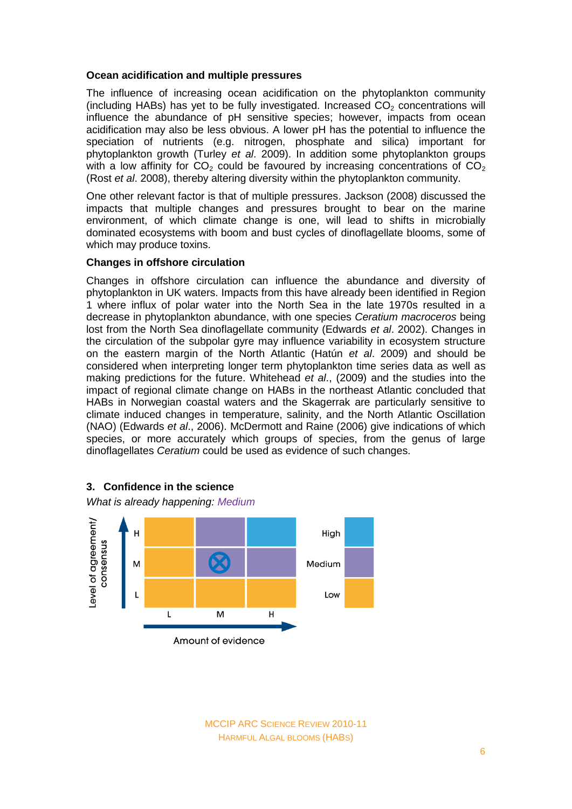#### **Ocean acidification and multiple pressures**

The influence of increasing ocean acidification on the phytoplankton community (including HABs) has yet to be fully investigated. Increased  $CO<sub>2</sub>$  concentrations will influence the abundance of pH sensitive species; however, impacts from ocean acidification may also be less obvious. A lower pH has the potential to influence the speciation of nutrients (e.g. nitrogen, phosphate and silica) important for phytoplankton growth (Turley *et al*. 2009). In addition some phytoplankton groups with a low affinity for  $CO<sub>2</sub>$  could be favoured by increasing concentrations of  $CO<sub>2</sub>$ (Rost *et al*. 2008), thereby altering diversity within the phytoplankton community.

One other relevant factor is that of multiple pressures. Jackson (2008) discussed the impacts that multiple changes and pressures brought to bear on the marine environment, of which climate change is one, will lead to shifts in microbially dominated ecosystems with boom and bust cycles of dinoflagellate blooms, some of which may produce toxins.

#### **Changes in offshore circulation**

Changes in offshore circulation can influence the abundance and diversity of phytoplankton in UK waters. Impacts from this have already been identified in Region 1 where influx of polar water into the North Sea in the late 1970s resulted in a decrease in phytoplankton abundance, with one species *Ceratium macroceros* being lost from the North Sea dinoflagellate community (Edwards *et al*. 2002). Changes in the circulation of the subpolar gyre may influence variability in ecosystem structure on the eastern margin of the North Atlantic (Hatún *et al*. 2009) and should be considered when interpreting longer term phytoplankton time series data as well as making predictions for the future. Whitehead *et al*., (2009) and the studies into the impact of regional climate change on HABs in the northeast Atlantic concluded that HABs in Norwegian coastal waters and the Skagerrak are particularly sensitive to climate induced changes in temperature, salinity, and the North Atlantic Oscillation (NAO) (Edwards *et al*., 2006). McDermott and Raine (2006) give indications of which species, or more accurately which groups of species, from the genus of large dinoflagellates *Ceratium* could be used as evidence of such changes.



#### **3. Confidence in the science**

*What is already happening: Medium*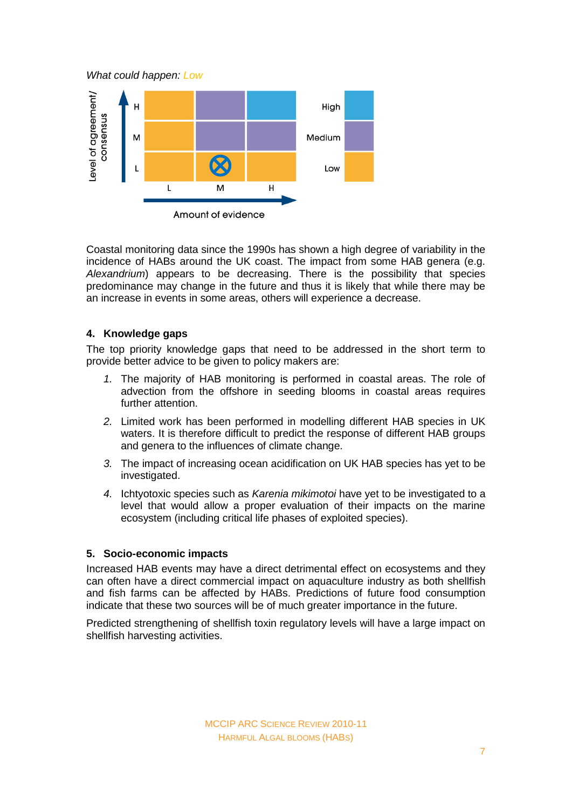*What could happen: Low*



Coastal monitoring data since the 1990s has shown a high degree of variability in the incidence of HABs around the UK coast. The impact from some HAB genera (e.g. *Alexandrium*) appears to be decreasing. There is the possibility that species predominance may change in the future and thus it is likely that while there may be an increase in events in some areas, others will experience a decrease.

## **4. Knowledge gaps**

The top priority knowledge gaps that need to be addressed in the short term to provide better advice to be given to policy makers are:

- *1.* The majority of HAB monitoring is performed in coastal areas. The role of advection from the offshore in seeding blooms in coastal areas requires further attention.
- *2.* Limited work has been performed in modelling different HAB species in UK waters. It is therefore difficult to predict the response of different HAB groups and genera to the influences of climate change.
- *3.* The impact of increasing ocean acidification on UK HAB species has yet to be investigated.
- *4.* Ichtyotoxic species such as *Karenia mikimotoi* have yet to be investigated to a level that would allow a proper evaluation of their impacts on the marine ecosystem (including critical life phases of exploited species).

## **5. Socio-economic impacts**

Increased HAB events may have a direct detrimental effect on ecosystems and they can often have a direct commercial impact on aquaculture industry as both shellfish and fish farms can be affected by HABs. Predictions of future food consumption indicate that these two sources will be of much greater importance in the future.

Predicted strengthening of shellfish toxin regulatory levels will have a large impact on shellfish harvesting activities.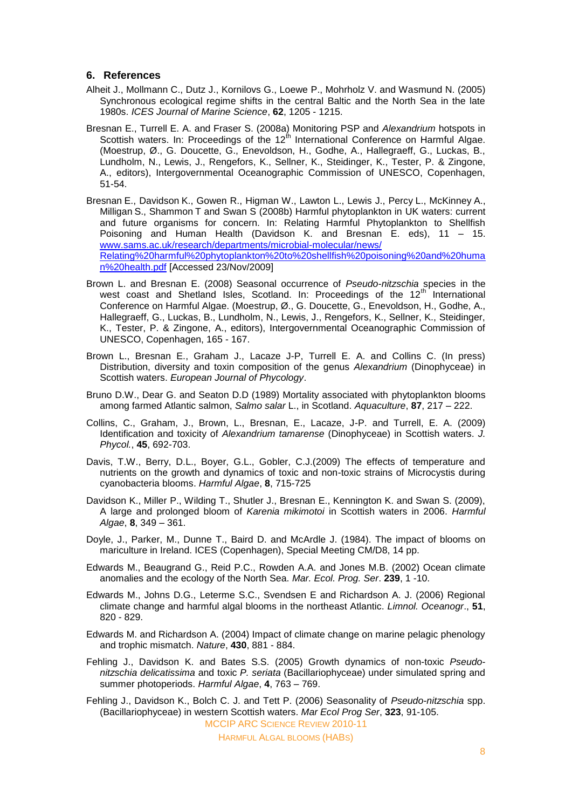## **6. References**

- Alheit J., Mollmann C., Dutz J., Kornilovs G., Loewe P., Mohrholz V. and Wasmund N. (2005) Synchronous ecological regime shifts in the central Baltic and the North Sea in the late 1980s. *ICES Journal of Marine Science*, **62**, 1205 - 1215.
- Bresnan E., Turrell E. A. and Fraser S. (2008a) Monitoring PSP and *Alexandrium* hotspots in Scottish waters. In: Proceedings of the 12<sup>th</sup> International Conference on Harmful Algae. (Moestrup, Ø., G. Doucette, G., Enevoldson, H., Godhe, A., Hallegraeff, G., Luckas, B., Lundholm, N., Lewis, J., Rengefors, K., Sellner, K., Steidinger, K., Tester, P. & Zingone, A., editors), Intergovernmental Oceanographic Commission of UNESCO, Copenhagen, 51-54.
- Bresnan E., Davidson K., Gowen R., Higman W., Lawton L., Lewis J., Percy L., McKinney A., Milligan S., Shammon T and Swan S (2008b) Harmful phytoplankton in UK waters: current and future organisms for concern. In: Relating Harmful Phytoplankton to Shellfish Poisoning and Human Health (Davidson K. and Bresnan E. eds), 11 – 15. [www.sams.ac.uk/research/departments/microbial-molecular/news/](http://www.sams.ac.uk/research/departments/microbial-molecular/news/Relating%20harmful%20phytoplankton%20to%20shellfish%20poisoning%20and%20human%20health.pdf) [Relating%20harmful%20phytoplankton%20to%20shellfish%20poisoning%20and%20huma](http://www.sams.ac.uk/research/departments/microbial-molecular/news/Relating%20harmful%20phytoplankton%20to%20shellfish%20poisoning%20and%20human%20health.pdf) [n%20health.pdf](http://www.sams.ac.uk/research/departments/microbial-molecular/news/Relating%20harmful%20phytoplankton%20to%20shellfish%20poisoning%20and%20human%20health.pdf) [Accessed 23/Nov/2009]
- Brown L. and Bresnan E. (2008) Seasonal occurrence of *Pseudo-nitzschia* species in the west coast and Shetland Isles, Scotland. In: Proceedings of the 12<sup>th</sup> International Conference on Harmful Algae. (Moestrup, Ø., G. Doucette, G., Enevoldson, H., Godhe, A., Hallegraeff, G., Luckas, B., Lundholm, N., Lewis, J., Rengefors, K., Sellner, K., Steidinger, K., Tester, P. & Zingone, A., editors), Intergovernmental Oceanographic Commission of UNESCO, Copenhagen, 165 - 167.
- Brown L., Bresnan E., Graham J., Lacaze J-P, Turrell E. A. and Collins C. (In press) Distribution, diversity and toxin composition of the genus *Alexandrium* (Dinophyceae) in Scottish waters. *European Journal of Phycology*.
- Bruno D.W., Dear G. and Seaton D.D (1989) Mortality associated with phytoplankton blooms among farmed Atlantic salmon, *Salmo salar* L., in Scotland. *Aquaculture*, **87**, 217 – 222.
- Collins, C., Graham, J., Brown, L., Bresnan, E., Lacaze, J-P. and Turrell, E. A. (2009) Identification and toxicity of *Alexandrium tamarense* (Dinophyceae) in Scottish waters. *J. Phycol.*, **45**, 692-703.
- Davis, T.W., Berry, D.L., Boyer, G.L., Gobler, C.J.(2009) The effects of temperature and nutrients on the growth and dynamics of toxic and non-toxic strains of Microcystis during cyanobacteria blooms. *Harmful Algae*, **8**, 715-725
- Davidson K., Miller P., Wilding T., Shutler J., Bresnan E., Kennington K. and Swan S. (2009), A large and prolonged bloom of *Karenia mikimotoi* in Scottish waters in 2006. *Harmful Algae*, **8**, 349 – 361.
- Doyle, J., Parker, M., Dunne T., Baird D. and McArdle J. (1984). The impact of blooms on mariculture in Ireland. ICES (Copenhagen), Special Meeting CM/D8, 14 pp.
- Edwards M., Beaugrand G., Reid P.C., Rowden A.A. and Jones M.B. (2002) Ocean climate anomalies and the ecology of the North Sea. *Mar. Ecol. Prog. Ser*. **239**, 1 -10.
- Edwards M., Johns D.G., Leterme S.C., Svendsen E and Richardson A. J. (2006) Regional climate change and harmful algal blooms in the northeast Atlantic. *Limnol. Oceanogr*., **51**, 820 - 829.
- Edwards M. and Richardson A. (2004) Impact of climate change on marine pelagic phenology and trophic mismatch. *Nature*, **430**, 881 - 884.
- Fehling J., Davidson K. and Bates S.S. (2005) Growth dynamics of non-toxic *Pseudonitzschia delicatissima* and toxic *P. seriata* (Bacillariophyceae) under simulated spring and summer photoperiods. *Harmful Algae*, **4**, 763 – 769.
- Fehling J., Davidson K., Bolch C. J. and Tett P. (2006) Seasonality of *Pseudo-nitzschia* spp. (Bacillariophyceae) in western Scottish waters. *Mar Ecol Prog Ser*, **323**, 91-105.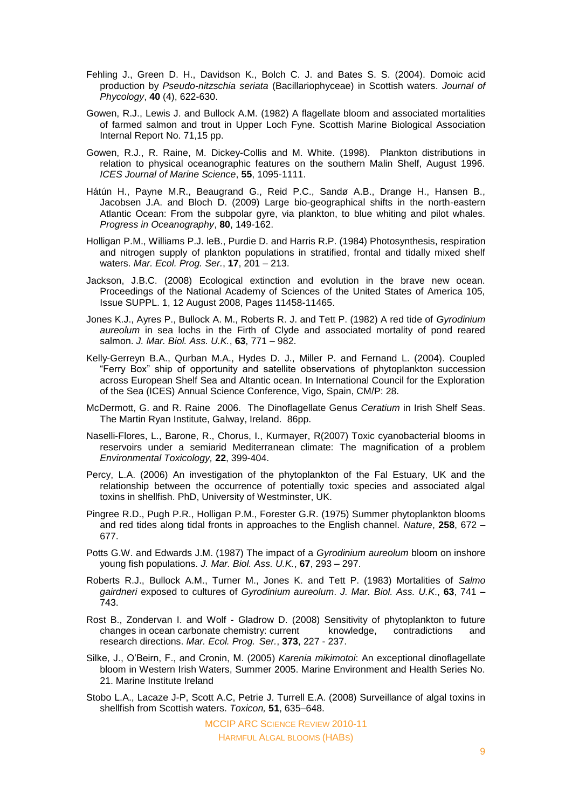- Fehling J., Green D. H., Davidson K., Bolch C. J. and Bates S. S. (2004). Domoic acid production by *Pseudo-nitzschia seriata* (Bacillariophyceae) in Scottish waters. *Journal of Phycology*, **40** (4), 622-630.
- Gowen, R.J., Lewis J. and Bullock A.M. (1982) A flagellate bloom and associated mortalities of farmed salmon and trout in Upper Loch Fyne. Scottish Marine Biological Association Internal Report No. 71,15 pp.
- Gowen, R.J., R. Raine, M. Dickey-Collis and M. White. (1998). Plankton distributions in relation to physical oceanographic features on the southern Malin Shelf, August 1996. *ICES Journal of Marine Science*, **55**, 1095-1111.
- Hátún H., Payne M.R., Beaugrand G., Reid P.C., Sandø A.B., Drange H., Hansen B., Jacobsen J.A. and Bloch D. (2009) Large bio-geographical shifts in the north-eastern Atlantic Ocean: From the subpolar gyre, via plankton, to blue whiting and pilot whales. *[Progress in Oceanography](http://www.sciencedirect.com/science/journal/00796611)*, **80**, 149-162.
- Holligan P.M., Williams P.J. leB., Purdie D. and Harris R.P. (1984) Photosynthesis, respiration and nitrogen supply of plankton populations in stratified, frontal and tidally mixed shelf waters. *Mar. Ecol. Prog. Ser.*, **17**, 201 – 213.
- Jackson, J.B.C. (2008) Ecological extinction and evolution in the brave new ocean. Proceedings of the National Academy of Sciences of the United States of America 105, Issue SUPPL. 1, 12 August 2008, Pages 11458-11465.
- Jones K.J., Ayres P., Bullock A. M., Roberts R. J. and Tett P. (1982) A red tide of *Gyrodinium aureolum* in sea lochs in the Firth of Clyde and associated mortality of pond reared salmon. *J. Mar. Biol. Ass. U.K.*, **63**, 771 – 982.
- Kelly-Gerreyn B.A., Qurban M.A., Hydes D. J., Miller P. and Fernand L. (2004). Coupled "Ferry Box" ship of opportunity and satellite observations of phytoplankton succession across European Shelf Sea and Altantic ocean. In International Council for the Exploration of the Sea (ICES) Annual Science Conference, Vigo, Spain, CM/P: 28.
- McDermott, G. and R. Raine 2006. The Dinoflagellate Genus *Ceratium* in Irish Shelf Seas. The Martin Ryan Institute, Galway, Ireland. 86pp.
- Naselli-Flores, L., Barone, R., Chorus, I., Kurmayer, R(2007) Toxic cyanobacterial blooms in reservoirs under a semiarid Mediterranean climate: The magnification of a problem *Environmental Toxicology,* **22**, 399-404.
- Percy, L.A. (2006) An investigation of the phytoplankton of the Fal Estuary, UK and the relationship between the occurrence of potentially toxic species and associated algal toxins in shellfish. PhD, University of Westminster, UK.
- Pingree R.D., Pugh P.R., Holligan P.M., Forester G.R. (1975) Summer phytoplankton blooms and red tides along tidal fronts in approaches to the English channel. *Nature*, **258**, 672 – 677.
- Potts G.W. and Edwards J.M. (1987) The impact of a *Gyrodinium aureolum* bloom on inshore young fish populations. *J. Mar. Biol. Ass. U.K.*, **67**, 293 – 297.
- Roberts R.J., Bullock A.M., Turner M., Jones K. and Tett P. (1983) Mortalities of *Salmo gairdneri* exposed to cultures of *Gyrodinium aureolum*. *J. Mar. Biol. Ass. U.K*., **63**, 741 – 743.
- Rost B., Zondervan I. and Wolf Gladrow D. (2008) Sensitivity of phytoplankton to future changes in ocean carbonate chemistry: current knowledge, contradictions and research directions. *Mar. Ecol. Prog. Ser.*, **373**, 227 - 237.
- Silke, J., O"Beirn, F., and Cronin, M. (2005) *Karenia mikimotoi*: An exceptional dinoflagellate bloom in Western Irish Waters, Summer 2005. Marine Environment and Health Series No. 21. Marine Institute Ireland
- Stobo L.A., Lacaze J-P, Scott A.C, Petrie J. Turrell E.A. (2008) Surveillance of algal toxins in shellfish from Scottish waters. *Toxicon,* **51**, 635–648.